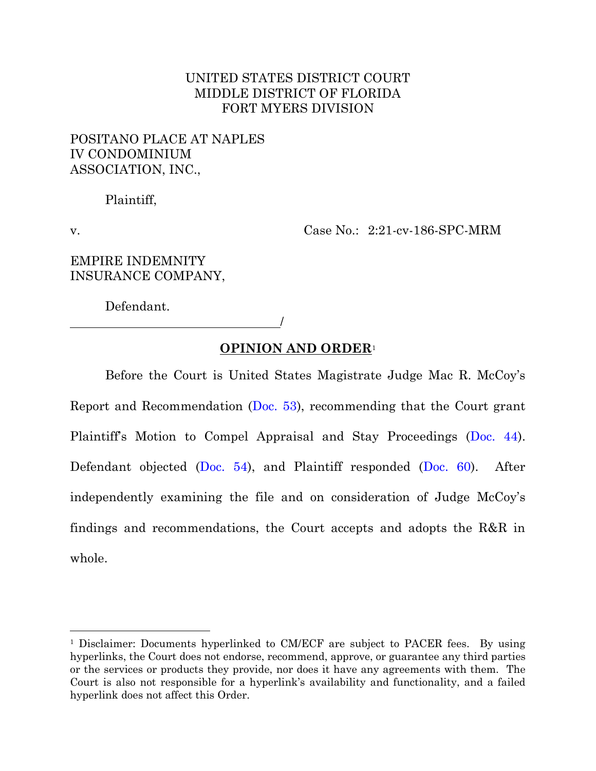# UNITED STATES DISTRICT COURT MIDDLE DISTRICT OF FLORIDA FORT MYERS DIVISION

# POSITANO PLACE AT NAPLES IV CONDOMINIUM ASSOCIATION, INC.,

Plaintiff,

v. Case No.: 2:21-cv-186-SPC-MRM

EMPIRE INDEMNITY INSURANCE COMPANY,

Defendant.

/

# **OPINION AND ORDER**<sup>1</sup>

Before the Court is United States Magistrate Judge Mac R. McCoy's Report and Recommendation [\(Doc. 53\)](https://ecf.flmd.uscourts.gov/https:/ecf.flmd.uscourts.gov/doc1/047123933135), recommending that the Court grant Plaintiff's Motion to Compel Appraisal and Stay Proceedings ([Doc. 44\)](https://ecf.flmd.uscourts.gov/https:/ecf.flmd.uscourts.gov/doc1/047023267644). Defendant objected [\(Doc. 54\)](https://ecf.flmd.uscourts.gov/https:/ecf.flmd.uscourts.gov/doc1/047123986994), and Plaintiff responded [\(Doc. 60\)](https://ecf.flmd.uscourts.gov/https:/ecf.flmd.uscourts.gov/doc1/047124080036). After independently examining the file and on consideration of Judge McCoy's findings and recommendations, the Court accepts and adopts the R&R in whole.

<sup>1</sup> Disclaimer: Documents hyperlinked to CM/ECF are subject to PACER fees. By using hyperlinks, the Court does not endorse, recommend, approve, or guarantee any third parties or the services or products they provide, nor does it have any agreements with them. The Court is also not responsible for a hyperlink's availability and functionality, and a failed hyperlink does not affect this Order.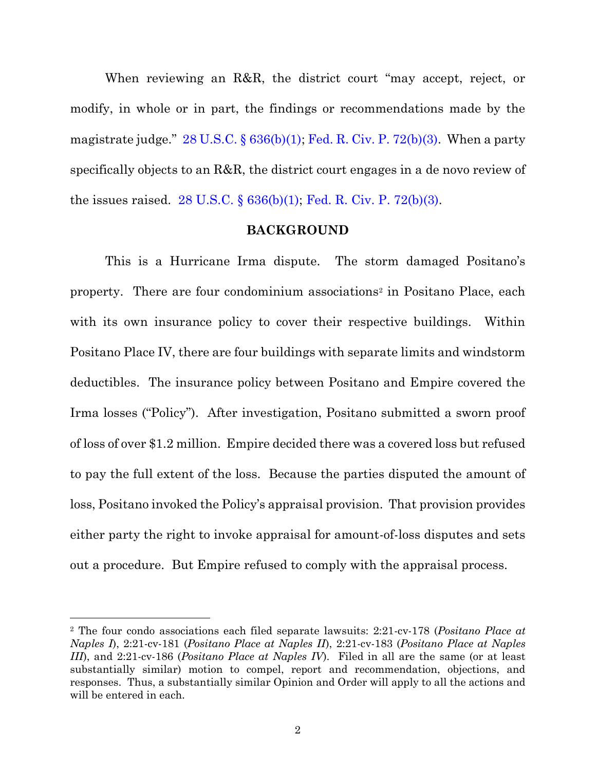When reviewing an R&R, the district court "may accept, reject, or modify, in whole or in part, the findings or recommendations made by the magistrate judge."  $28 \text{ U.S.C.}$  §  $636(b)(1)$ ; [Fed. R. Civ. P. 72\(b\)\(3\).](https://www.westlaw.com/Document/NC74C9100B96C11D8983DF34406B5929B/View/FullText.html?transitionType=Default&contextData=(sc.Default)&VR=3.0&RS=da3.0) When a party specifically objects to an R&R, the district court engages in a de novo review of the issues raised.  $28 \text{ U.S.C.}$  §  $636(b)(1)$ ; [Fed. R. Civ. P. 72\(b\)\(3\).](https://www.westlaw.com/Document/NC74C9100B96C11D8983DF34406B5929B/View/FullText.html?transitionType=Default&contextData=(sc.Default)&VR=3.0&RS=da3.0)

## **BACKGROUND**

This is a Hurricane Irma dispute. The storm damaged Positano's property. There are four condominium associations<sup>2</sup> in Positano Place, each with its own insurance policy to cover their respective buildings. Within Positano Place IV, there are four buildings with separate limits and windstorm deductibles. The insurance policy between Positano and Empire covered the Irma losses ("Policy"). After investigation, Positano submitted a sworn proof of loss of over \$1.2 million. Empire decided there was a covered loss but refused to pay the full extent of the loss. Because the parties disputed the amount of loss, Positano invoked the Policy's appraisal provision. That provision provides either party the right to invoke appraisal for amount-of-loss disputes and sets out a procedure. But Empire refused to comply with the appraisal process.

<sup>2</sup> The four condo associations each filed separate lawsuits: 2:21-cv-178 (*Positano Place at Naples I*), 2:21-cv-181 (*Positano Place at Naples II*), 2:21-cv-183 (*Positano Place at Naples III*), and 2:21-cv-186 (*Positano Place at Naples IV*). Filed in all are the same (or at least substantially similar) motion to compel, report and recommendation, objections, and responses. Thus, a substantially similar Opinion and Order will apply to all the actions and will be entered in each.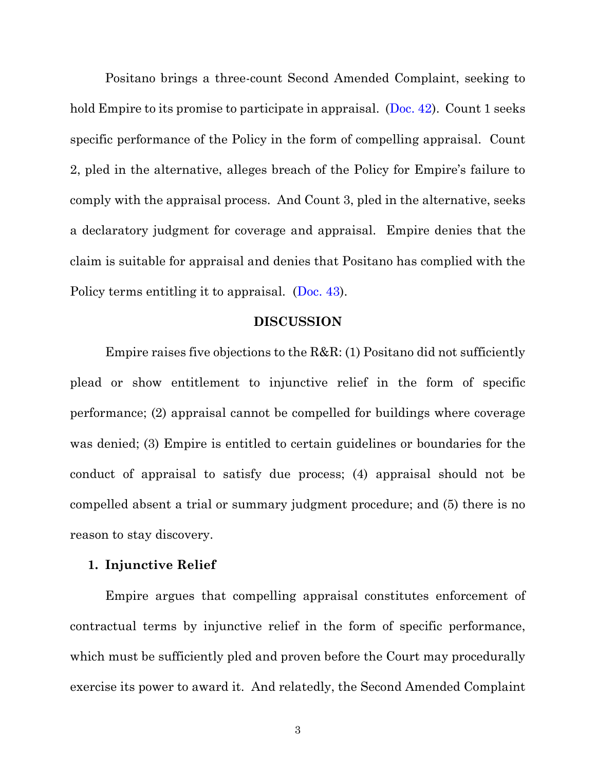Positano brings a three-count Second Amended Complaint, seeking to hold Empire to its promise to participate in appraisal. [\(Doc. 42\)](https://ecf.flmd.uscourts.gov/https:/ecf.flmd.uscourts.gov/doc1/047123093265). Count 1 seeks specific performance of the Policy in the form of compelling appraisal. Count 2, pled in the alternative, alleges breach of the Policy for Empire's failure to comply with the appraisal process. And Count 3, pled in the alternative, seeks a declaratory judgment for coverage and appraisal. Empire denies that the claim is suitable for appraisal and denies that Positano has complied with the Policy terms entitling it to appraisal. [\(Doc. 43\)](https://ecf.flmd.uscourts.gov/https:/ecf.flmd.uscourts.gov/doc1/047123146599).

## **DISCUSSION**

Empire raises five objections to the R&R: (1) Positano did not sufficiently plead or show entitlement to injunctive relief in the form of specific performance; (2) appraisal cannot be compelled for buildings where coverage was denied; (3) Empire is entitled to certain guidelines or boundaries for the conduct of appraisal to satisfy due process; (4) appraisal should not be compelled absent a trial or summary judgment procedure; and (5) there is no reason to stay discovery.

### **1. Injunctive Relief**

Empire argues that compelling appraisal constitutes enforcement of contractual terms by injunctive relief in the form of specific performance, which must be sufficiently pled and proven before the Court may procedurally exercise its power to award it. And relatedly, the Second Amended Complaint

3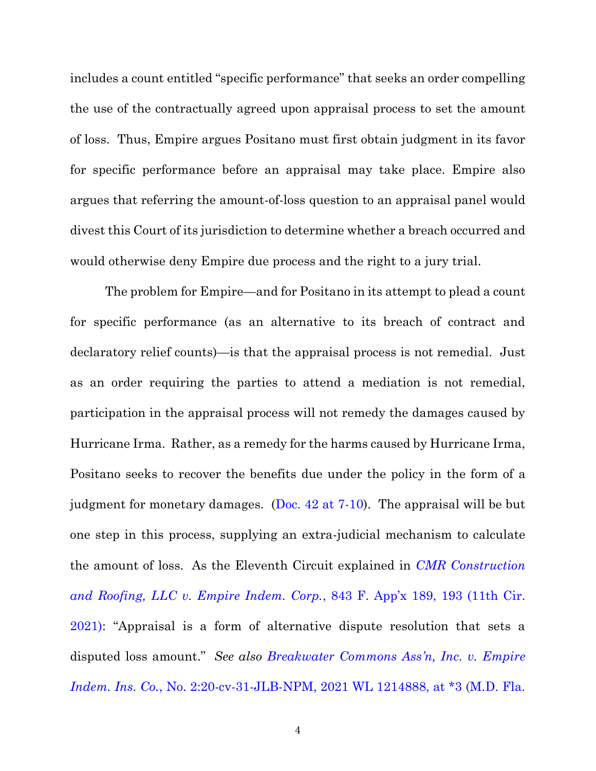includes a count entitled "specific performance" that seeks an order compelling the use of the contractually agreed upon appraisal process to set the amount of loss. Thus, Empire argues Positano must first obtain judgment in its favor for specific performance before an appraisal may take place. Empire also argues that referring the amount-of-loss question to an appraisal panel would divest this Court of its jurisdiction to determine whether a breach occurred and would otherwise deny Empire due process and the right to a jury trial.

The problem for Empire—and for Positano in its attempt to plead a count for specific performance (as an alternative to its breach of contract and declaratory relief counts)—is that the appraisal process is not remedial. Just as an order requiring the parties to attend a mediation is not remedial, participation in the appraisal process will not remedy the damages caused by Hurricane Irma. Rather, as a remedy for the harms caused by Hurricane Irma, Positano seeks to recover the benefits due under the policy in the form of a judgment for monetary damages. (Doc.  $42$  at  $7-10$ ). The appraisal will be but one step in this process, supplying an extra-judicial mechanism to calculate the amount of loss. As the Eleventh Circuit explained in *[CMR Construction](https://www.westlaw.com/Document/I79eb79a0601f11eb9125b33edbbb3b4d/View/FullText.html?transitionType=Default&contextData=(sc.Default)&VR=3.0&RS=da3.0&fragmentIdentifier=co_pp_sp_6538_193)  [and Roofing, LLC v. Empire Indem. Corp.](https://www.westlaw.com/Document/I79eb79a0601f11eb9125b33edbbb3b4d/View/FullText.html?transitionType=Default&contextData=(sc.Default)&VR=3.0&RS=da3.0&fragmentIdentifier=co_pp_sp_6538_193)*, 843 F. App'x 189, 193 (11th Cir. [2021\)](https://www.westlaw.com/Document/I79eb79a0601f11eb9125b33edbbb3b4d/View/FullText.html?transitionType=Default&contextData=(sc.Default)&VR=3.0&RS=da3.0&fragmentIdentifier=co_pp_sp_6538_193): "Appraisal is a form of alternative dispute resolution that sets a disputed loss amount." *See also [Breakwater Commons Ass](https://www.westlaw.com/Document/Iebdf466092e011ebb814920ee3be9aa4/View/FullText.html?transitionType=Default&contextData=(sc.Default)&VR=3.0&RS=da3.0&fragmentIdentifier=co_pp_sp_999_3)'n, Inc. v. Empire Indem. Ins. Co.*[, No. 2:20-cv-31-JLB-NPM, 2021 WL 1214888, at \\*3 \(M.D. Fla.](https://www.westlaw.com/Document/Iebdf466092e011ebb814920ee3be9aa4/View/FullText.html?transitionType=Default&contextData=(sc.Default)&VR=3.0&RS=da3.0&fragmentIdentifier=co_pp_sp_999_3)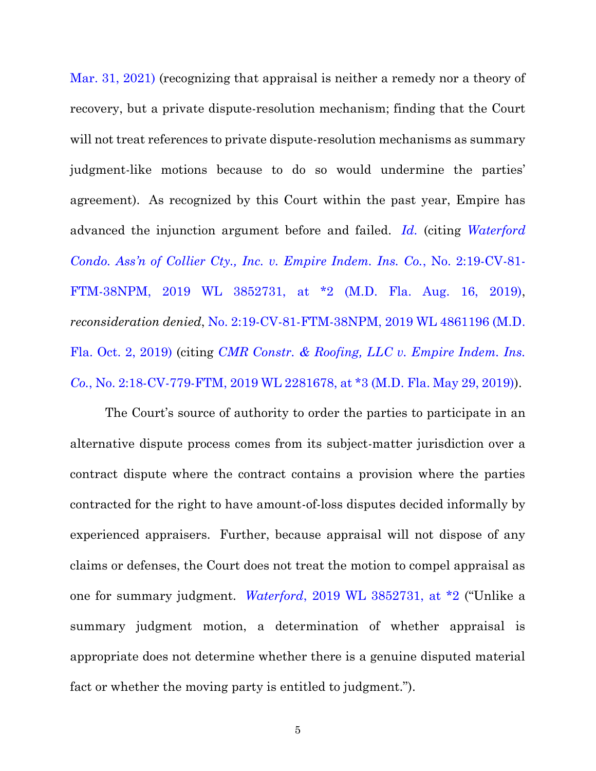[Mar. 31, 2021\)](https://www.westlaw.com/Document/Iebdf466092e011ebb814920ee3be9aa4/View/FullText.html?transitionType=Default&contextData=(sc.Default)&VR=3.0&RS=da3.0&fragmentIdentifier=co_pp_sp_999_3) (recognizing that appraisal is neither a remedy nor a theory of recovery, but a private dispute-resolution mechanism; finding that the Court will not treat references to private dispute-resolution mechanisms as summary judgment-like motions because to do so would undermine the parties' agreement). As recognized by this Court within the past year, Empire has advanced the injunction argument before and failed. *[Id.](https://www.westlaw.com/Document/Iebdf466092e011ebb814920ee3be9aa4/View/FullText.html?transitionType=Default&contextData=(sc.Default)&VR=3.0&RS=da3.0)* (citing *[Waterford](https://www.westlaw.com/Document/I467686e0c08f11e9a1eadf28d23ada74/View/FullText.html?transitionType=Default&contextData=(sc.Default)&VR=3.0&RS=da3.0&fragmentIdentifier=co_pp_sp_999_2)  Condo. Ass'n of Collier C[ty., Inc. v. Empire Indem. Ins. Co.](https://www.westlaw.com/Document/I467686e0c08f11e9a1eadf28d23ada74/View/FullText.html?transitionType=Default&contextData=(sc.Default)&VR=3.0&RS=da3.0&fragmentIdentifier=co_pp_sp_999_2)*, No. 2:19-CV-81- [FTM-38NPM, 2019 WL 3852731, at \\*2 \(M.D. Fla. Aug. 16, 2019\),](https://www.westlaw.com/Document/I467686e0c08f11e9a1eadf28d23ada74/View/FullText.html?transitionType=Default&contextData=(sc.Default)&VR=3.0&RS=da3.0&fragmentIdentifier=co_pp_sp_999_2) *reconsideration denied*, [No. 2:19-CV-81-FTM-38NPM,](https://www.westlaw.com/Document/Ibeaa1cf0e5bd11e98edaa29474e5f579/View/FullText.html?transitionType=Default&contextData=(sc.Default)&VR=3.0&RS=da3.0) [2019 WL 4861196 \(M.D.](https://www.westlaw.com/Document/Ibeaa1cf0e5bd11e98edaa29474e5f579/View/FullText.html?transitionType=Default&contextData=(sc.Default)&VR=3.0&RS=da3.0)  [Fla. Oct. 2, 2019\)](https://www.westlaw.com/Document/Ibeaa1cf0e5bd11e98edaa29474e5f579/View/FullText.html?transitionType=Default&contextData=(sc.Default)&VR=3.0&RS=da3.0) (citing *[CMR Constr. & Roofing, LLC v. Empire Indem. Ins.](https://www.westlaw.com/Document/I97072680827a11e9a3ecec4a01914b9c/View/FullText.html?transitionType=Default&contextData=(sc.Default)&VR=3.0&RS=da3.0&fragmentIdentifier=co_pp_sp_999_3)  Co.*[, No. 2:18-CV-779-FTM, 2019 WL 2281678, at \\*3 \(M.D. Fla. May 29, 2019\)\)](https://www.westlaw.com/Document/I97072680827a11e9a3ecec4a01914b9c/View/FullText.html?transitionType=Default&contextData=(sc.Default)&VR=3.0&RS=da3.0&fragmentIdentifier=co_pp_sp_999_3).

The Court's source of authority to order the parties to participate in an alternative dispute process comes from its subject-matter jurisdiction over a contract dispute where the contract contains a provision where the parties contracted for the right to have amount-of-loss disputes decided informally by experienced appraisers. Further, because appraisal will not dispose of any claims or defenses, the Court does not treat the motion to compel appraisal as one for summary judgment. *Waterford*[, 2019 WL 3852731, at \\*2](https://www.westlaw.com/Document/I467686e0c08f11e9a1eadf28d23ada74/View/FullText.html?transitionType=Default&contextData=(sc.Default)&VR=3.0&RS=da3.0) ("Unlike a summary judgment motion, a determination of whether appraisal is appropriate does not determine whether there is a genuine disputed material fact or whether the moving party is entitled to judgment.").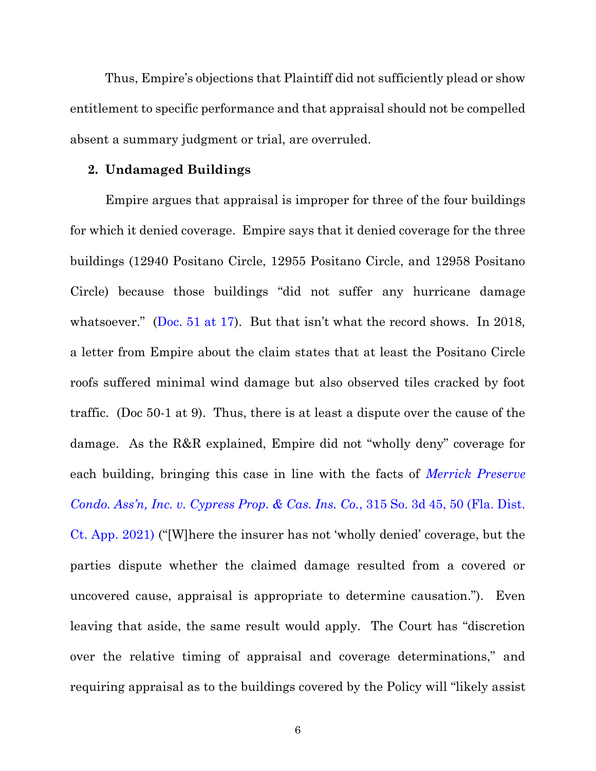Thus, Empire's objections that Plaintiff did not sufficiently plead or show entitlement to specific performance and that appraisal should not be compelled absent a summary judgment or trial, are overruled.

#### **2. Undamaged Buildings**

Empire argues that appraisal is improper for three of the four buildings for which it denied coverage. Empire says that it denied coverage for the three buildings (12940 Positano Circle, 12955 Positano Circle, and 12958 Positano Circle) because those buildings "did not suffer any hurricane damage whatsoever." ([Doc. 51 at 17](https://ecf.flmd.uscourts.gov/https:/ecf.flmd.uscourts.gov/doc1/047123730530?page=17)). But that isn't what the record shows. In 2018, a letter from Empire about the claim states that at least the Positano Circle roofs suffered minimal wind damage but also observed tiles cracked by foot traffic. (Doc 50-1 at 9). Thus, there is at least a dispute over the cause of the damage. As the R&R explained, Empire did not "wholly deny" coverage for each building, bringing this case in line with the facts of *[Merrick Preserve](https://www.westlaw.com/Document/Iae7a3b90924f11eb8c2cff889eaa90d0/View/FullText.html?transitionType=Default&contextData=(sc.Default)&VR=3.0&RS=da3.0&fragmentIdentifier=co_pp_sp_3926_50)  Condo. Ass'n, Inc. v. Cypress Prop. & Cas. Ins. Co.*[, 315 So. 3d 45, 50 \(Fla. Dist.](https://www.westlaw.com/Document/Iae7a3b90924f11eb8c2cff889eaa90d0/View/FullText.html?transitionType=Default&contextData=(sc.Default)&VR=3.0&RS=da3.0&fragmentIdentifier=co_pp_sp_3926_50)  [Ct. App. 2021\)](https://www.westlaw.com/Document/Iae7a3b90924f11eb8c2cff889eaa90d0/View/FullText.html?transitionType=Default&contextData=(sc.Default)&VR=3.0&RS=da3.0&fragmentIdentifier=co_pp_sp_3926_50) ("[W]here the insurer has not 'wholly denied' coverage, but the parties dispute whether the claimed damage resulted from a covered or uncovered cause, appraisal is appropriate to determine causation."). Even leaving that aside, the same result would apply. The Court has "discretion over the relative timing of appraisal and coverage determinations," and requiring appraisal as to the buildings covered by the Policy will "likely assist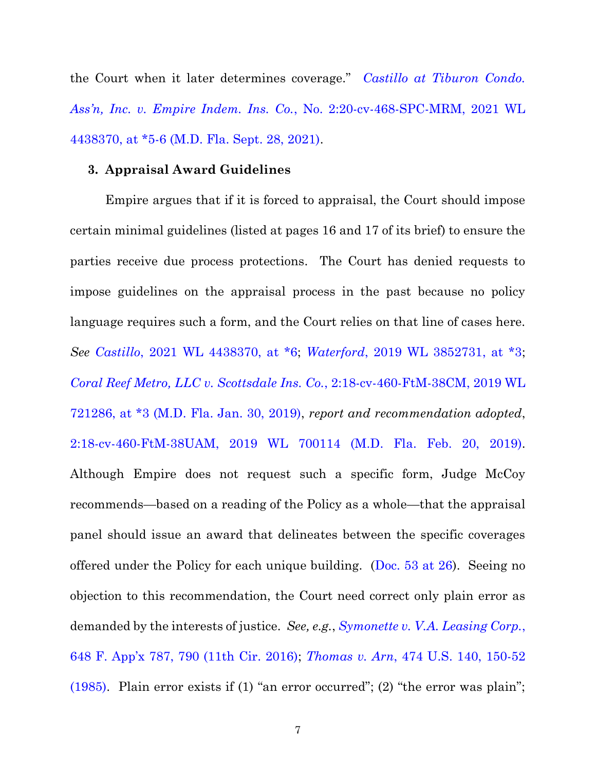the Court when it later determines coverage." *[Castillo at Tiburon Condo.](https://www.westlaw.com/Document/I30a7d95020c711eca2c0956a17cbccde/View/FullText.html?transitionType=Default&contextData=(sc.Default)&VR=3.0&RS=da3.0&fragmentIdentifier=co_pp_sp_999_5)  Ass'n, Inc. v. Empire Indem. Ins. Co.*[, No. 2:20-cv-468-SPC-MRM, 2021 WL](https://www.westlaw.com/Document/I30a7d95020c711eca2c0956a17cbccde/View/FullText.html?transitionType=Default&contextData=(sc.Default)&VR=3.0&RS=da3.0&fragmentIdentifier=co_pp_sp_999_5)  [4438370, at \\*5-6 \(M.D. Fla. Sept. 28, 2021\).](https://www.westlaw.com/Document/I30a7d95020c711eca2c0956a17cbccde/View/FullText.html?transitionType=Default&contextData=(sc.Default)&VR=3.0&RS=da3.0&fragmentIdentifier=co_pp_sp_999_5)

#### **3. Appraisal Award Guidelines**

Empire argues that if it is forced to appraisal, the Court should impose certain minimal guidelines (listed at pages 16 and 17 of its brief) to ensure the parties receive due process protections. The Court has denied requests to impose guidelines on the appraisal process in the past because no policy language requires such a form, and the Court relies on that line of cases here. *See [Castillo](https://www.westlaw.com/Document/I30a7d95020c711eca2c0956a17cbccde/View/FullText.html?transitionType=Default&contextData=(sc.Default)&VR=3.0&RS=da3.0)*[, 2021 WL 4438370, at \\*6;](https://www.westlaw.com/Document/I30a7d95020c711eca2c0956a17cbccde/View/FullText.html?transitionType=Default&contextData=(sc.Default)&VR=3.0&RS=da3.0) *[Waterford](https://www.westlaw.com/Document/I467686e0c08f11e9a1eadf28d23ada74/View/FullText.html?transitionType=Default&contextData=(sc.Default)&VR=3.0&RS=da3.0)*[, 2019 WL 3852731, at \\*3;](https://www.westlaw.com/Document/I467686e0c08f11e9a1eadf28d23ada74/View/FullText.html?transitionType=Default&contextData=(sc.Default)&VR=3.0&RS=da3.0) *[Coral Reef Metro, LLC v. Scottsdale Ins. Co.](https://www.westlaw.com/Document/I97072680827a11e9a3ecec4a01914b9c/View/FullText.html?transitionType=Default&contextData=(sc.Default)&VR=3.0&RS=da3.0)*, 2:18-cv-460-FtM[-38CM, 2019 WL](https://www.westlaw.com/Document/I97072680827a11e9a3ecec4a01914b9c/View/FullText.html?transitionType=Default&contextData=(sc.Default)&VR=3.0&RS=da3.0)  [721286, at \\*3 \(M.D. Fla. Jan. 30, 2019\),](https://www.westlaw.com/Document/I97072680827a11e9a3ecec4a01914b9c/View/FullText.html?transitionType=Default&contextData=(sc.Default)&VR=3.0&RS=da3.0) *report and recommendation adopted*, [2:18-cv-460-FtM-38UAM,](https://www.westlaw.com/Document/I70a6968035b111e987fd8441446aa305/View/FullText.html?transitionType=Default&contextData=(sc.Default)&VR=3.0&RS=da3.0) [2019 WL 700114 \(M.D. Fla. Feb. 20, 2019\).](https://www.westlaw.com/Document/I70a6968035b111e987fd8441446aa305/View/FullText.html?transitionType=Default&contextData=(sc.Default)&VR=3.0&RS=da3.0) Although Empire does not request such a specific form, Judge McCoy recommends—based on a reading of the Policy as a whole—that the appraisal panel should issue an award that delineates between the specific coverages offered under the Policy for each unique building. (Doc.  $53$  at  $26$ ). Seeing no objection to this recommendation, the Court need correct only plain error as demanded by the interests of justice. *See, e.g.*, *[Symonette v. V.A. Leasing Corp.](https://www.westlaw.com/Document/I0e142dff03c611e6a795ac035416da91/View/FullText.html?transitionType=Default&contextData=(sc.Default)&VR=3.0&RS=da3.0&fragmentIdentifier=co_pp_sp_6538_790)*[,](https://www.westlaw.com/Document/I0e142dff03c611e6a795ac035416da91/View/FullText.html?transitionType=Default&contextData=(sc.Default)&VR=3.0&RS=da3.0&fragmentIdentifier=co_pp_sp_6538_790)  [648 F. App'x 787, 790 \(11th Cir. 2016\)](https://www.westlaw.com/Document/I0e142dff03c611e6a795ac035416da91/View/FullText.html?transitionType=Default&contextData=(sc.Default)&VR=3.0&RS=da3.0&fragmentIdentifier=co_pp_sp_6538_790); *Thomas v. Arn*[, 474 U.S. 140, 150-52](https://www.westlaw.com/Document/I179b192b9c1f11d993e6d35cc61aab4a/View/FullText.html?transitionType=Default&contextData=(sc.Default)&VR=3.0&RS=da3.0&fragmentIdentifier=co_pp_sp_780_150)  [\(1985\)](https://www.westlaw.com/Document/I179b192b9c1f11d993e6d35cc61aab4a/View/FullText.html?transitionType=Default&contextData=(sc.Default)&VR=3.0&RS=da3.0&fragmentIdentifier=co_pp_sp_780_150). Plain error exists if (1) "an error occurred"; (2) "the error was plain";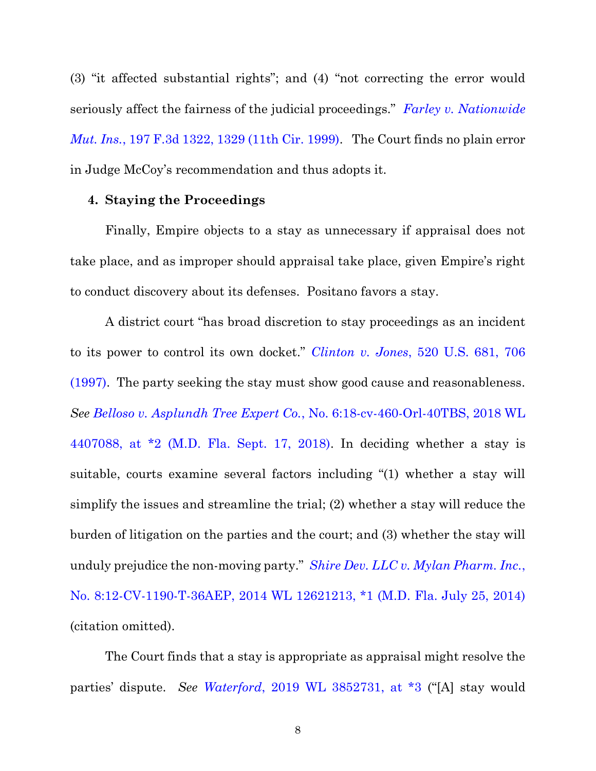(3) "it affected substantial rights"; and (4) "not correcting the error would seriously affect the fairness of the judicial proceedings." *[Farley v. Nationwide](https://www.westlaw.com/Document/I44e3387094ba11d9bc61beebb95be672/View/FullText.html?transitionType=Default&contextData=(sc.Default)&VR=3.0&RS=da3.0&fragmentIdentifier=co_pp_sp_506_1329)  [Mut. Ins.](https://www.westlaw.com/Document/I44e3387094ba11d9bc61beebb95be672/View/FullText.html?transitionType=Default&contextData=(sc.Default)&VR=3.0&RS=da3.0&fragmentIdentifier=co_pp_sp_506_1329)*[, 197 F.3d 1322, 1329 \(11th Cir. 1999\).](https://www.westlaw.com/Document/I44e3387094ba11d9bc61beebb95be672/View/FullText.html?transitionType=Default&contextData=(sc.Default)&VR=3.0&RS=da3.0&fragmentIdentifier=co_pp_sp_506_1329) The Court finds no plain error in Judge McCoy's recommendation and thus adopts it.

### **4. Staying the Proceedings**

Finally, Empire objects to a stay as unnecessary if appraisal does not take place, and as improper should appraisal take place, given Empire's right to conduct discovery about its defenses. Positano favors a stay.

A district court "has broad discretion to stay proceedings as an incident to its power to control its own docket." *Clinton v. Jones*[, 520 U.S. 681, 706](https://www.westlaw.com/Document/Ibdd5aac29c2511d9bc61beebb95be672/View/FullText.html?transitionType=Default&contextData=(sc.Default)&VR=3.0&RS=da3.0&fragmentIdentifier=co_pp_sp_780_706)  [\(1997\).](https://www.westlaw.com/Document/Ibdd5aac29c2511d9bc61beebb95be672/View/FullText.html?transitionType=Default&contextData=(sc.Default)&VR=3.0&RS=da3.0&fragmentIdentifier=co_pp_sp_780_706) The party seeking the stay must show good cause and reasonableness. *See Belloso v. Asplundh Tree Expert Co.*[, No. 6:18-cv-460-Orl-40TBS, 2018 WL](https://www.westlaw.com/Document/Icc3f3fb0bb1311e8b1cdeab7e1f6f07a/View/FullText.html?transitionType=Default&contextData=(sc.Default)&VR=3.0&RS=da3.0&fragmentIdentifier=co_pp_sp_999_2)  [4407088, at \\*2 \(M.D. Fla. Sept. 17, 2018\).](https://www.westlaw.com/Document/Icc3f3fb0bb1311e8b1cdeab7e1f6f07a/View/FullText.html?transitionType=Default&contextData=(sc.Default)&VR=3.0&RS=da3.0&fragmentIdentifier=co_pp_sp_999_2) In deciding whether a stay is suitable, courts examine several factors including "(1) whether a stay will simplify the issues and streamline the trial; (2) whether a stay will reduce the burden of litigation on the parties and the court; and (3) whether the stay will unduly prejudice the non-moving party." *[Shire Dev. LLC v. Mylan Pharm. Inc.](https://www.westlaw.com/Document/Ib5396d00c5b911e6ac07a76176915fee/View/FullText.html?transitionType=Default&contextData=(sc.Default)&VR=3.0&RS=da3.0&fragmentIdentifier=co_pp_sp_999_1)*[,](https://www.westlaw.com/Document/Ib5396d00c5b911e6ac07a76176915fee/View/FullText.html?transitionType=Default&contextData=(sc.Default)&VR=3.0&RS=da3.0&fragmentIdentifier=co_pp_sp_999_1)  [No. 8:12-CV-1190-T-36AEP, 2014 WL 12621213, \\*1 \(M.D. Fla. July 25, 2014\)](https://www.westlaw.com/Document/Ib5396d00c5b911e6ac07a76176915fee/View/FullText.html?transitionType=Default&contextData=(sc.Default)&VR=3.0&RS=da3.0&fragmentIdentifier=co_pp_sp_999_1) (citation omitted).

The Court finds that a stay is appropriate as appraisal might resolve the parties' dispute. *See [Waterford](https://www.westlaw.com/Document/I467686e0c08f11e9a1eadf28d23ada74/View/FullText.html?transitionType=Default&contextData=(sc.Default)&VR=3.0&RS=da3.0)*[, 2019 WL 3852731, at \\*3](https://www.westlaw.com/Document/I467686e0c08f11e9a1eadf28d23ada74/View/FullText.html?transitionType=Default&contextData=(sc.Default)&VR=3.0&RS=da3.0) ("[A] stay would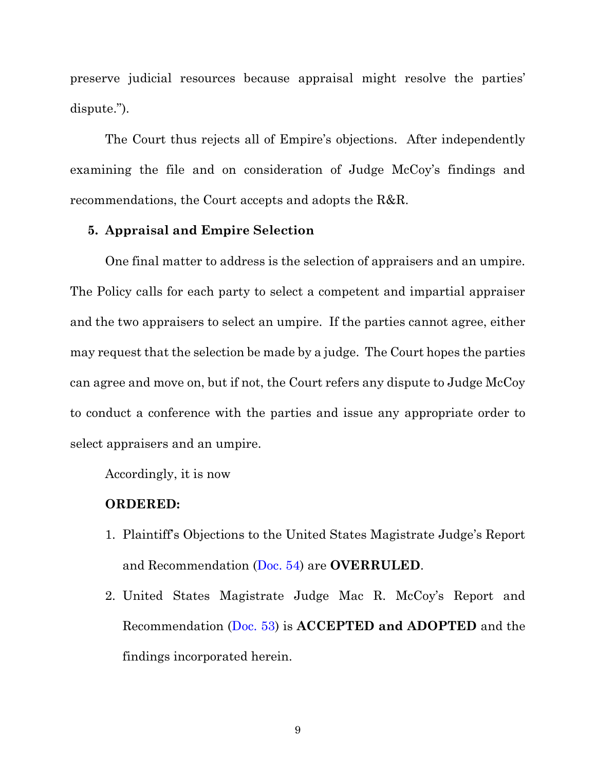preserve judicial resources because appraisal might resolve the parties' dispute.").

The Court thus rejects all of Empire's objections. After independently examining the file and on consideration of Judge McCoy's findings and recommendations, the Court accepts and adopts the R&R.

## **5. Appraisal and Empire Selection**

One final matter to address is the selection of appraisers and an umpire. The Policy calls for each party to select a competent and impartial appraiser and the two appraisers to select an umpire. If the parties cannot agree, either may request that the selection be made by a judge. The Court hopes the parties can agree and move on, but if not, the Court refers any dispute to Judge McCoy to conduct a conference with the parties and issue any appropriate order to select appraisers and an umpire.

Accordingly, it is now

### **ORDERED:**

- 1. Plaintiff's Objections to the United States Magistrate Judge's Report and Recommendation [\(Doc. 54\)](https://ecf.flmd.uscourts.gov/https:/ecf.flmd.uscourts.gov/doc1/047123986994) are **OVERRULED**.
- 2. United States Magistrate Judge Mac R. McCoy's Report and Recommendation [\(Doc. 53\)](https://ecf.flmd.uscourts.gov/https:/ecf.flmd.uscourts.gov/doc1/047123933135) is **ACCEPTED and ADOPTED** and the findings incorporated herein.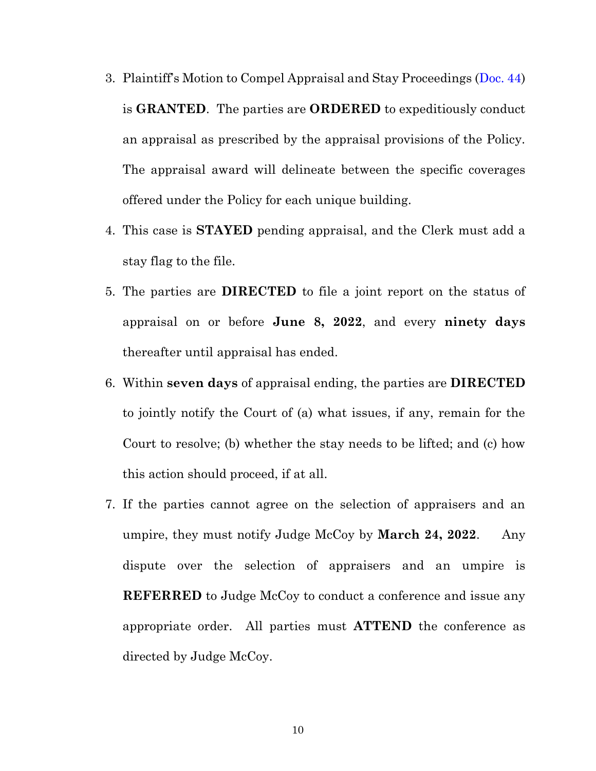- 3. Plaintiff's Motion to Compel Appraisal and Stay Proceedings ([Doc. 44\)](https://ecf.flmd.uscourts.gov/https:/ecf.flmd.uscourts.gov/doc1/047023267644) is **GRANTED**. The parties are **ORDERED** to expeditiously conduct an appraisal as prescribed by the appraisal provisions of the Policy. The appraisal award will delineate between the specific coverages offered under the Policy for each unique building.
- 4. This case is **STAYED** pending appraisal, and the Clerk must add a stay flag to the file.
- 5. The parties are **DIRECTED** to file a joint report on the status of appraisal on or before **June 8, 2022**, and every **ninety days** thereafter until appraisal has ended.
- 6. Within **seven days** of appraisal ending, the parties are **DIRECTED** to jointly notify the Court of (a) what issues, if any, remain for the Court to resolve; (b) whether the stay needs to be lifted; and (c) how this action should proceed, if at all.
- 7. If the parties cannot agree on the selection of appraisers and an umpire, they must notify Judge McCoy by **March 24, 2022**. Any dispute over the selection of appraisers and an umpire is **REFERRED** to Judge McCoy to conduct a conference and issue any appropriate order. All parties must **ATTEND** the conference as directed by Judge McCoy.